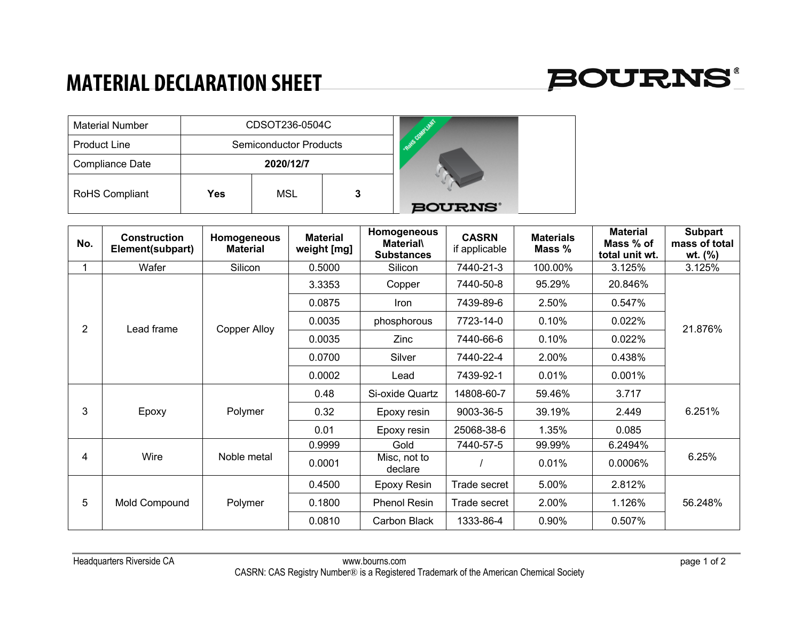## **MATERIAL DECLARATION SHEET**



| <b>Material Number</b> | CDSOT236-0504C |                               |            |               |
|------------------------|----------------|-------------------------------|------------|---------------|
| <b>Product Line</b>    |                | <b>Semiconductor Products</b> | · Rote Com |               |
| Compliance Date        |                | 2020/12/7                     |            |               |
| RoHS Compliant         | Yes            | MSL                           | 3          |               |
|                        |                |                               |            | <b>BOURNS</b> |

| No. | <b>Construction</b><br>Element(subpart) | Homogeneous<br><b>Material</b> | <b>Material</b><br>weight [mg] | Homogeneous<br><b>Material\</b><br><b>Substances</b> | <b>CASRN</b><br>if applicable | <b>Materials</b><br>Mass % | <b>Material</b><br>Mass % of<br>total unit wt. | <b>Subpart</b><br>mass of total<br>wt. (%) |
|-----|-----------------------------------------|--------------------------------|--------------------------------|------------------------------------------------------|-------------------------------|----------------------------|------------------------------------------------|--------------------------------------------|
|     | Wafer                                   | Silicon                        | 0.5000                         | Silicon                                              | 7440-21-3                     | 100.00%                    | 3.125%                                         | 3.125%                                     |
| 2   | Lead frame                              | <b>Copper Alloy</b>            | 3.3353                         | Copper                                               | 7440-50-8                     | 95.29%                     | 20.846%                                        | 21.876%                                    |
|     |                                         |                                | 0.0875                         | <b>Iron</b>                                          | 7439-89-6                     | 2.50%                      | 0.547%                                         |                                            |
|     |                                         |                                | 0.0035                         | phosphorous                                          | 7723-14-0                     | 0.10%                      | 0.022%                                         |                                            |
|     |                                         |                                | 0.0035                         | <b>Zinc</b>                                          | 7440-66-6                     | 0.10%                      | 0.022%                                         |                                            |
|     |                                         |                                | 0.0700                         | Silver                                               | 7440-22-4                     | 2.00%                      | 0.438%                                         |                                            |
|     |                                         |                                | 0.0002                         | Lead                                                 | 7439-92-1                     | 0.01%                      | 0.001%                                         |                                            |
| 3   | Epoxy                                   | Polymer                        | 0.48                           | Si-oxide Quartz                                      | 14808-60-7                    | 59.46%                     | 3.717                                          | 6.251%                                     |
|     |                                         |                                | 0.32                           | Epoxy resin                                          | 9003-36-5                     | 39.19%                     | 2.449                                          |                                            |
|     |                                         |                                | 0.01                           | Epoxy resin                                          | 25068-38-6                    | 1.35%                      | 0.085                                          |                                            |
| 4   | Wire                                    | Noble metal                    | 0.9999                         | Gold                                                 | 7440-57-5                     | 99.99%                     | 6.2494%                                        | 6.25%                                      |
|     |                                         |                                | 0.0001                         | Misc, not to<br>declare                              |                               | 0.01%                      | $0.0006\%$                                     |                                            |
| 5   | Mold Compound                           | Polymer                        | 0.4500                         | Epoxy Resin                                          | Trade secret                  | 5.00%                      | 2.812%                                         | 56.248%                                    |
|     |                                         |                                | 0.1800                         | <b>Phenol Resin</b>                                  | Trade secret                  | 2.00%                      | 1.126%                                         |                                            |
|     |                                         |                                | 0.0810                         | Carbon Black                                         | 1333-86-4                     | 0.90%                      | 0.507%                                         |                                            |